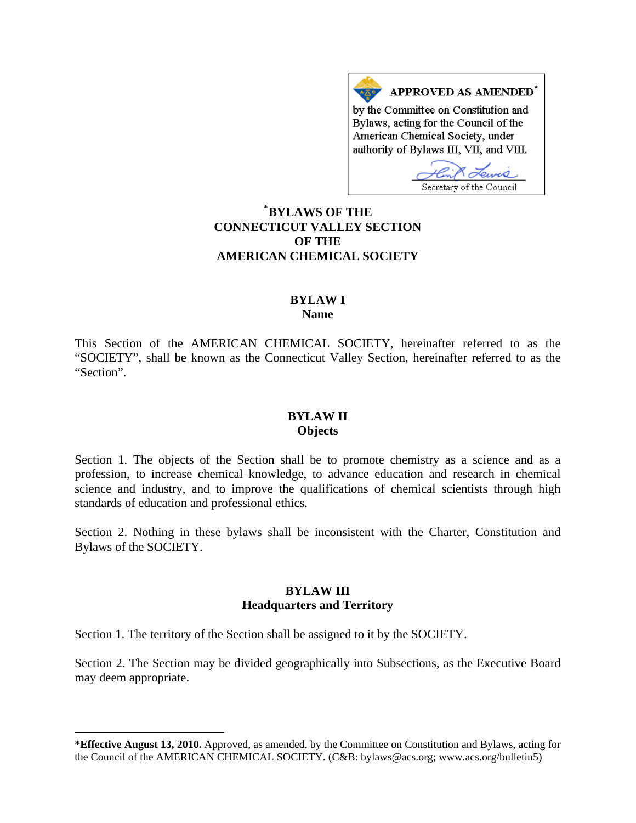APPROVED AS AMENDED<sup>\*</sup> by the Committee on Constitution and Bylaws, acting for the Council of the American Chemical Society, under authority of Bylaws III, VII, and VIII.

Secretary of the Council

## **\* [BYLAWS OF THE](#page-0-0)  CONNECTICUT VALLEY SECTION OF THE AMERICAN CHEMICAL SOCIETY**

#### **BYLAW I Name**

This Section of the AMERICAN CHEMICAL SOCIETY, hereinafter referred to as the "SOCIETY", shall be known as the Connecticut Valley Section, hereinafter referred to as the "Section".

## **BYLAW II Objects**

Section 1. The objects of the Section shall be to promote chemistry as a science and as a profession, to increase chemical knowledge, to advance education and research in chemical science and industry, and to improve the qualifications of chemical scientists through high standards of education and professional ethics.

Section 2. Nothing in these bylaws shall be inconsistent with the Charter, Constitution and Bylaws of the SOCIETY.

### **BYLAW III Headquarters and Territory**

Section 1. The territory of the Section shall be assigned to it by the SOCIETY.

l

Section 2. The Section may be divided geographically into Subsections, as the Executive Board may deem appropriate.

<span id="page-0-0"></span>**<sup>\*</sup>Effective August 13, 2010.** Approved, as amended, by the Committee on Constitution and Bylaws, acting for the Council of the AMERICAN CHEMICAL SOCIETY. (C&B: bylaws@acs.org; www.acs.org/bulletin5)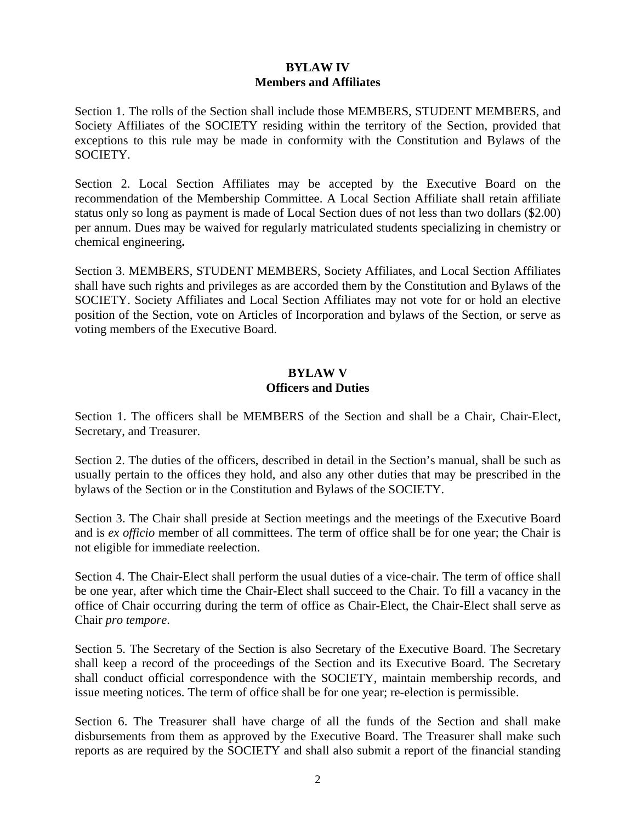## **BYLAW IV Members and Affiliates**

Section 1. The rolls of the Section shall include those MEMBERS, STUDENT MEMBERS, and Society Affiliates of the SOCIETY residing within the territory of the Section, provided that exceptions to this rule may be made in conformity with the Constitution and Bylaws of the SOCIETY.

Section 2. Local Section Affiliates may be accepted by the Executive Board on the recommendation of the Membership Committee. A Local Section Affiliate shall retain affiliate status only so long as payment is made of Local Section dues of not less than two dollars (\$2.00) per annum. Dues may be waived for regularly matriculated students specializing in chemistry or chemical engineering**.** 

Section 3. MEMBERS, STUDENT MEMBERS, Society Affiliates, and Local Section Affiliates shall have such rights and privileges as are accorded them by the Constitution and Bylaws of the SOCIETY. Society Affiliates and Local Section Affiliates may not vote for or hold an elective position of the Section, vote on Articles of Incorporation and bylaws of the Section, or serve as voting members of the Executive Board.

## **BYLAW V Officers and Duties**

Section 1. The officers shall be MEMBERS of the Section and shall be a Chair, Chair-Elect, Secretary, and Treasurer.

Section 2. The duties of the officers, described in detail in the Section's manual, shall be such as usually pertain to the offices they hold, and also any other duties that may be prescribed in the bylaws of the Section or in the Constitution and Bylaws of the SOCIETY.

Section 3. The Chair shall preside at Section meetings and the meetings of the Executive Board and is *ex officio* member of all committees. The term of office shall be for one year; the Chair is not eligible for immediate reelection.

Section 4. The Chair-Elect shall perform the usual duties of a vice-chair. The term of office shall be one year, after which time the Chair-Elect shall succeed to the Chair. To fill a vacancy in the office of Chair occurring during the term of office as Chair-Elect, the Chair-Elect shall serve as Chair *pro tempore*.

Section 5. The Secretary of the Section is also Secretary of the Executive Board. The Secretary shall keep a record of the proceedings of the Section and its Executive Board. The Secretary shall conduct official correspondence with the SOCIETY, maintain membership records, and issue meeting notices. The term of office shall be for one year; re-election is permissible.

Section 6. The Treasurer shall have charge of all the funds of the Section and shall make disbursements from them as approved by the Executive Board. The Treasurer shall make such reports as are required by the SOCIETY and shall also submit a report of the financial standing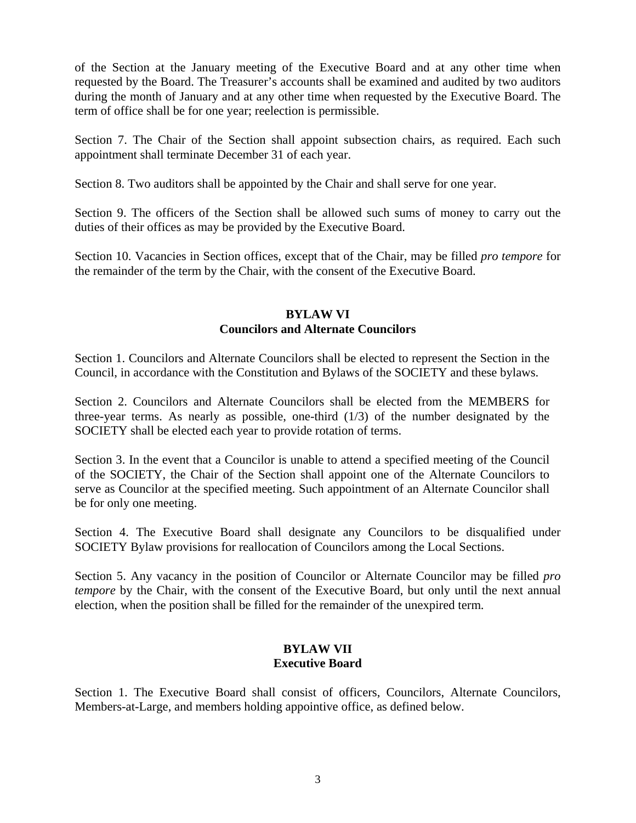of the Section at the January meeting of the Executive Board and at any other time when requested by the Board. The Treasurer's accounts shall be examined and audited by two auditors during the month of January and at any other time when requested by the Executive Board. The term of office shall be for one year; reelection is permissible.

Section 7. The Chair of the Section shall appoint subsection chairs, as required. Each such appointment shall terminate December 31 of each year.

Section 8. Two auditors shall be appointed by the Chair and shall serve for one year.

Section 9. The officers of the Section shall be allowed such sums of money to carry out the duties of their offices as may be provided by the Executive Board.

Section 10. Vacancies in Section offices, except that of the Chair, may be filled *pro tempore* for the remainder of the term by the Chair, with the consent of the Executive Board.

## **BYLAW VI Councilors and Alternate Councilors**

Section 1. Councilors and Alternate Councilors shall be elected to represent the Section in the Council, in accordance with the Constitution and Bylaws of the SOCIETY and these bylaws.

Section 2. Councilors and Alternate Councilors shall be elected from the MEMBERS for three-year terms. As nearly as possible, one-third (1/3) of the number designated by the SOCIETY shall be elected each year to provide rotation of terms.

Section 3. In the event that a Councilor is unable to attend a specified meeting of the Council of the SOCIETY, the Chair of the Section shall appoint one of the Alternate Councilors to serve as Councilor at the specified meeting. Such appointment of an Alternate Councilor shall be for only one meeting.

Section 4. The Executive Board shall designate any Councilors to be disqualified under SOCIETY Bylaw provisions for reallocation of Councilors among the Local Sections.

Section 5. Any vacancy in the position of Councilor or Alternate Councilor may be filled *pro tempore* by the Chair, with the consent of the Executive Board, but only until the next annual election, when the position shall be filled for the remainder of the unexpired term.

## **BYLAW VII Executive Board**

Section 1. The Executive Board shall consist of officers, Councilors, Alternate Councilors, Members-at-Large, and members holding appointive office, as defined below.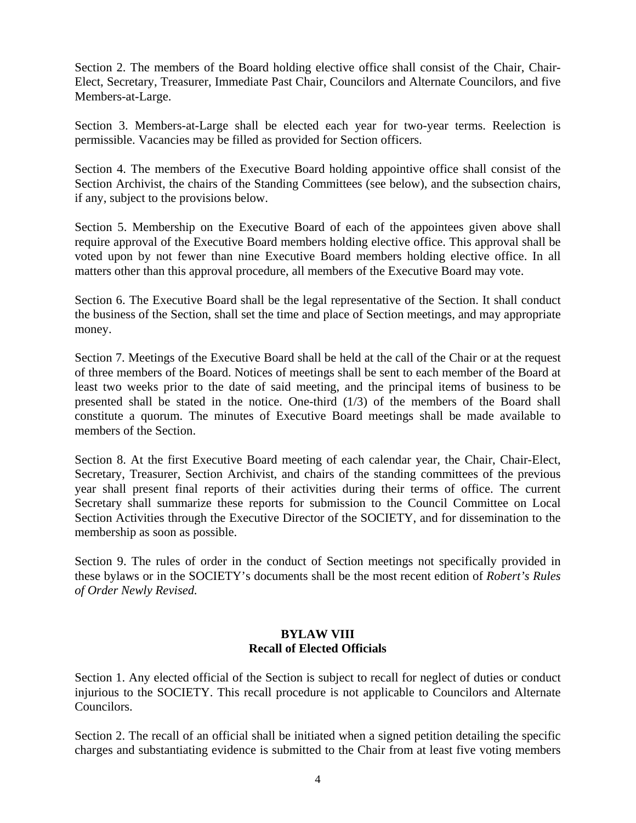Section 2. The members of the Board holding elective office shall consist of the Chair, Chair-Elect, Secretary, Treasurer, Immediate Past Chair, Councilors and Alternate Councilors, and five Members-at-Large.

Section 3. Members-at-Large shall be elected each year for two-year terms. Reelection is permissible. Vacancies may be filled as provided for Section officers.

Section 4. The members of the Executive Board holding appointive office shall consist of the Section Archivist, the chairs of the Standing Committees (see below), and the subsection chairs, if any, subject to the provisions below.

Section 5. Membership on the Executive Board of each of the appointees given above shall require approval of the Executive Board members holding elective office. This approval shall be voted upon by not fewer than nine Executive Board members holding elective office. In all matters other than this approval procedure, all members of the Executive Board may vote.

Section 6. The Executive Board shall be the legal representative of the Section. It shall conduct the business of the Section, shall set the time and place of Section meetings, and may appropriate money.

Section 7. Meetings of the Executive Board shall be held at the call of the Chair or at the request of three members of the Board. Notices of meetings shall be sent to each member of the Board at least two weeks prior to the date of said meeting, and the principal items of business to be presented shall be stated in the notice. One-third (1/3) of the members of the Board shall constitute a quorum. The minutes of Executive Board meetings shall be made available to members of the Section.

Section 8. At the first Executive Board meeting of each calendar year, the Chair, Chair-Elect, Secretary, Treasurer, Section Archivist, and chairs of the standing committees of the previous year shall present final reports of their activities during their terms of office. The current Secretary shall summarize these reports for submission to the Council Committee on Local Section Activities through the Executive Director of the SOCIETY, and for dissemination to the membership as soon as possible.

Section 9. The rules of order in the conduct of Section meetings not specifically provided in these bylaws or in the SOCIETY's documents shall be the most recent edition of *Robert's Rules of Order Newly Revised.*

# **BYLAW VIII Recall of Elected Officials**

Section 1. Any elected official of the Section is subject to recall for neglect of duties or conduct injurious to the SOCIETY. This recall procedure is not applicable to Councilors and Alternate Councilors.

Section 2. The recall of an official shall be initiated when a signed petition detailing the specific charges and substantiating evidence is submitted to the Chair from at least five voting members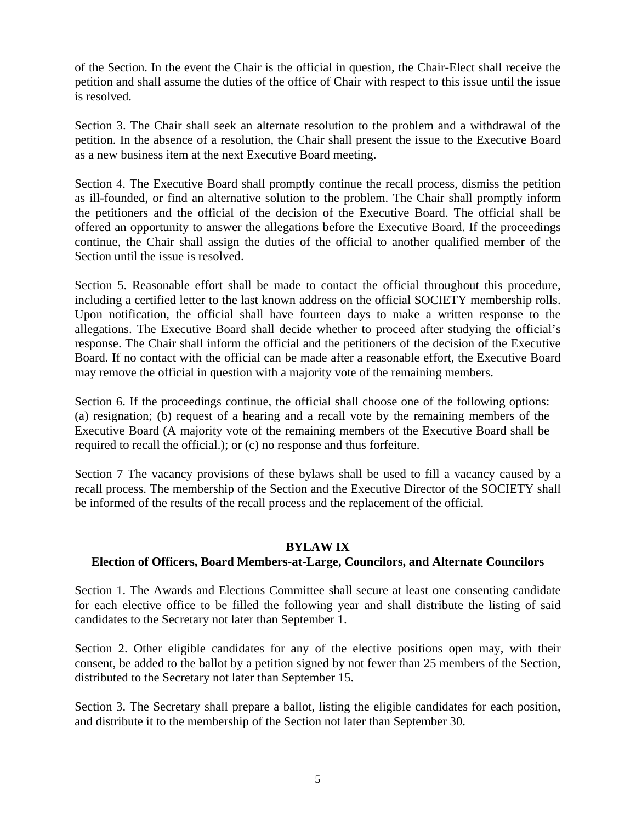of the Section. In the event the Chair is the official in question, the Chair-Elect shall receive the petition and shall assume the duties of the office of Chair with respect to this issue until the issue is resolved.

Section 3. The Chair shall seek an alternate resolution to the problem and a withdrawal of the petition. In the absence of a resolution, the Chair shall present the issue to the Executive Board as a new business item at the next Executive Board meeting.

Section 4. The Executive Board shall promptly continue the recall process, dismiss the petition as ill-founded, or find an alternative solution to the problem. The Chair shall promptly inform the petitioners and the official of the decision of the Executive Board. The official shall be offered an opportunity to answer the allegations before the Executive Board. If the proceedings continue, the Chair shall assign the duties of the official to another qualified member of the Section until the issue is resolved.

Section 5. Reasonable effort shall be made to contact the official throughout this procedure, including a certified letter to the last known address on the official SOCIETY membership rolls. Upon notification, the official shall have fourteen days to make a written response to the allegations. The Executive Board shall decide whether to proceed after studying the official's response. The Chair shall inform the official and the petitioners of the decision of the Executive Board. If no contact with the official can be made after a reasonable effort, the Executive Board may remove the official in question with a majority vote of the remaining members.

Section 6. If the proceedings continue, the official shall choose one of the following options: (a) resignation; (b) request of a hearing and a recall vote by the remaining members of the Executive Board (A majority vote of the remaining members of the Executive Board shall be required to recall the official.); or (c) no response and thus forfeiture.

Section 7 The vacancy provisions of these bylaws shall be used to fill a vacancy caused by a recall process. The membership of the Section and the Executive Director of the SOCIETY shall be informed of the results of the recall process and the replacement of the official.

### **BYLAW IX**

### **Election of Officers, Board Members-at-Large, Councilors, and Alternate Councilors**

Section 1. The Awards and Elections Committee shall secure at least one consenting candidate for each elective office to be filled the following year and shall distribute the listing of said candidates to the Secretary not later than September 1.

Section 2. Other eligible candidates for any of the elective positions open may, with their consent, be added to the ballot by a petition signed by not fewer than 25 members of the Section, distributed to the Secretary not later than September 15.

Section 3. The Secretary shall prepare a ballot, listing the eligible candidates for each position, and distribute it to the membership of the Section not later than September 30.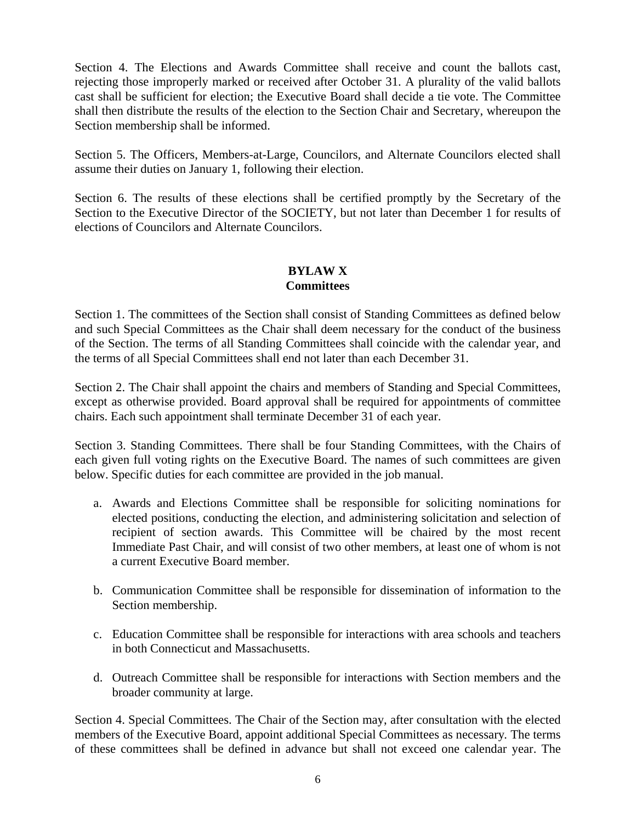Section 4. The Elections and Awards Committee shall receive and count the ballots cast, rejecting those improperly marked or received after October 31. A plurality of the valid ballots cast shall be sufficient for election; the Executive Board shall decide a tie vote. The Committee shall then distribute the results of the election to the Section Chair and Secretary, whereupon the Section membership shall be informed.

Section 5. The Officers, Members-at-Large, Councilors, and Alternate Councilors elected shall assume their duties on January 1, following their election.

Section 6. The results of these elections shall be certified promptly by the Secretary of the Section to the Executive Director of the SOCIETY, but not later than December 1 for results of elections of Councilors and Alternate Councilors.

## **BYLAW X Committees**

Section 1. The committees of the Section shall consist of Standing Committees as defined below and such Special Committees as the Chair shall deem necessary for the conduct of the business of the Section. The terms of all Standing Committees shall coincide with the calendar year, and the terms of all Special Committees shall end not later than each December 31.

Section 2. The Chair shall appoint the chairs and members of Standing and Special Committees, except as otherwise provided. Board approval shall be required for appointments of committee chairs. Each such appointment shall terminate December 31 of each year.

Section 3. Standing Committees. There shall be four Standing Committees, with the Chairs of each given full voting rights on the Executive Board. The names of such committees are given below. Specific duties for each committee are provided in the job manual.

- a. Awards and Elections Committee shall be responsible for soliciting nominations for elected positions, conducting the election, and administering solicitation and selection of recipient of section awards. This Committee will be chaired by the most recent Immediate Past Chair, and will consist of two other members, at least one of whom is not a current Executive Board member.
- b. Communication Committee shall be responsible for dissemination of information to the Section membership.
- c. Education Committee shall be responsible for interactions with area schools and teachers in both Connecticut and Massachusetts.
- d. Outreach Committee shall be responsible for interactions with Section members and the broader community at large.

Section 4. Special Committees. The Chair of the Section may, after consultation with the elected members of the Executive Board, appoint additional Special Committees as necessary*.* The terms of these committees shall be defined in advance but shall not exceed one calendar year. The